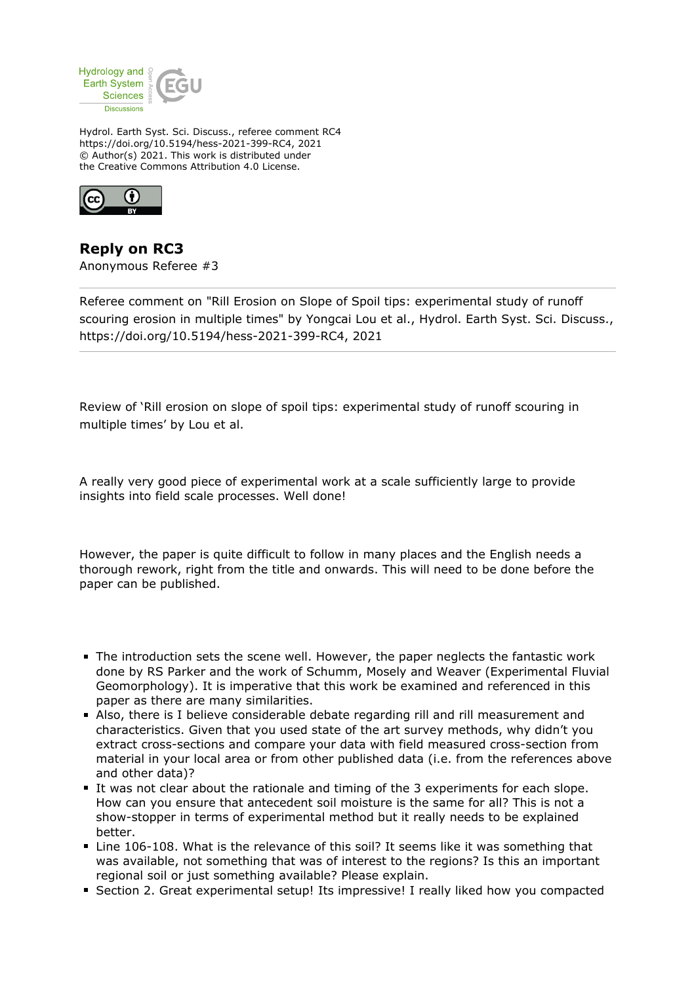

Hydrol. Earth Syst. Sci. Discuss., referee comment RC4 https://doi.org/10.5194/hess-2021-399-RC4, 2021 © Author(s) 2021. This work is distributed under the Creative Commons Attribution 4.0 License.



**Reply on RC3** Anonymous Referee #3

Referee comment on "Rill Erosion on Slope of Spoil tips: experimental study of runoff scouring erosion in multiple times" by Yongcai Lou et al., Hydrol. Earth Syst. Sci. Discuss., https://doi.org/10.5194/hess-2021-399-RC4, 2021

Review of 'Rill erosion on slope of spoil tips: experimental study of runoff scouring in multiple times' by Lou et al.

A really very good piece of experimental work at a scale sufficiently large to provide insights into field scale processes. Well done!

However, the paper is quite difficult to follow in many places and the English needs a thorough rework, right from the title and onwards. This will need to be done before the paper can be published.

- The introduction sets the scene well. However, the paper neglects the fantastic work done by RS Parker and the work of Schumm, Mosely and Weaver (Experimental Fluvial Geomorphology). It is imperative that this work be examined and referenced in this paper as there are many similarities.
- Also, there is I believe considerable debate regarding rill and rill measurement and characteristics. Given that you used state of the art survey methods, why didn't you extract cross-sections and compare your data with field measured cross-section from material in your local area or from other published data (i.e. from the references above and other data)?
- It was not clear about the rationale and timing of the 3 experiments for each slope. How can you ensure that antecedent soil moisture is the same for all? This is not a show-stopper in terms of experimental method but it really needs to be explained better.
- Line 106-108. What is the relevance of this soil? It seems like it was something that was available, not something that was of interest to the regions? Is this an important regional soil or just something available? Please explain.
- **Section 2. Great experimental setup! Its impressive! I really liked how you compacted**